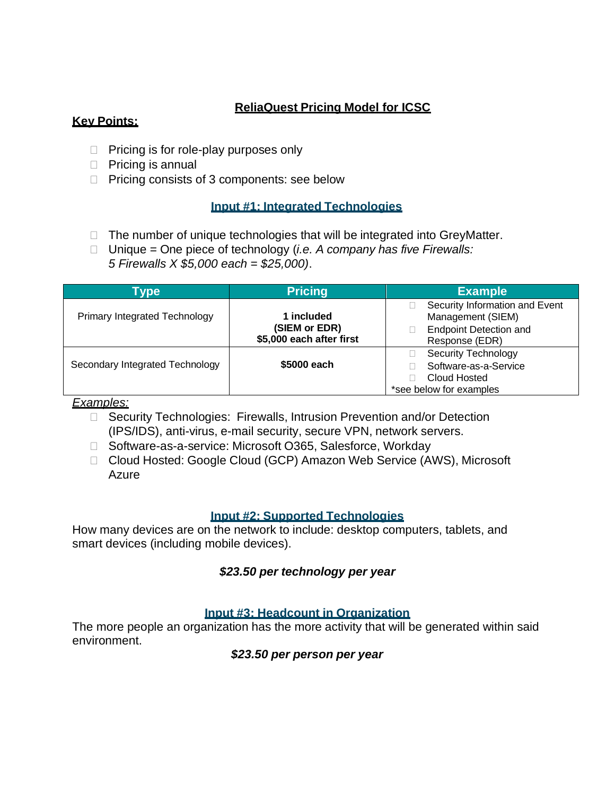# **ReliaQuest Pricing Model for ICSC**

### **Key Points:**

- $\Box$  Pricing is for role-play purposes only
- $\Box$  Pricing is annual
- $\Box$  Pricing consists of 3 components: see below

### **Input #1: Integrated Technologies**

- $\Box$  The number of unique technologies that will be integrated into GreyMatter.
- Unique = One piece of technology (*i.e. A company has five Firewalls: 5 Firewalls X \$5,000 each = \$25,000)*.

| Type                                 | <b>Pricing</b>                                          | <b>Example</b>                                                                                         |  |  |
|--------------------------------------|---------------------------------------------------------|--------------------------------------------------------------------------------------------------------|--|--|
| <b>Primary Integrated Technology</b> | 1 included<br>(SIEM or EDR)<br>\$5,000 each after first | Security Information and Event<br>Management (SIEM)<br><b>Endpoint Detection and</b><br>Response (EDR) |  |  |
| Secondary Integrated Technology      | \$5000 each                                             | <b>Security Technology</b><br>Software-as-a-Service<br>Cloud Hosted<br>*see below for examples         |  |  |

#### *Examples:*

- □ Security Technologies: Firewalls, Intrusion Prevention and/or Detection (IPS/IDS), anti-virus, e-mail security, secure VPN, network servers.
- □ Software-as-a-service: Microsoft O365, Salesforce, Workday
- □ Cloud Hosted: Google Cloud (GCP) Amazon Web Service (AWS), Microsoft Azure

#### **Input #2: Supported Technologies**

How many devices are on the network to include: desktop computers, tablets, and smart devices (including mobile devices).

### *\$23.50 per technology per year*

#### **Input #3: Headcount in Organization**

The more people an organization has the more activity that will be generated within said environment.

*\$23.50 per person per year*